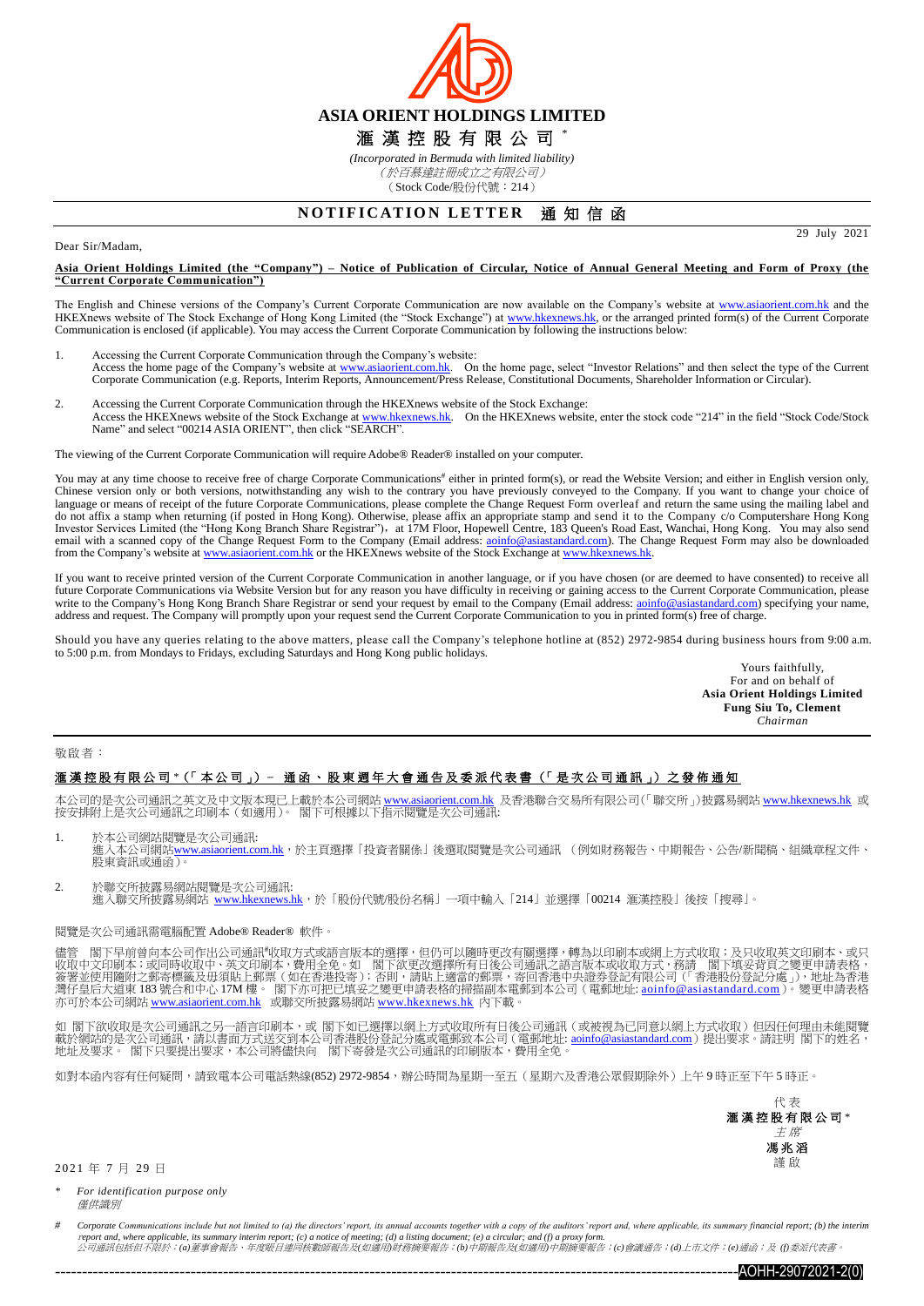

*(Incorporated in Bermuda with limited liability)* (於百慕達註冊成立之有限公司) (Stock Code/股份代號:214)

## **NOTIFICATION LETTER 通知信函**

#### Dear Sir/Madam,

**Asia Orient Holdings Limited (the "Company") – Notice of Publication of Circular, Notice of Annual General Meeting and Form of Proxy (the "Current Corporate Communication")**

The English and Chinese versions of the Company's Current Corporate Communication are now available on the Company's website at [www.asiaorient.com.hk](http://www.asiaorient.com.hk/) and the HKEXnews website of The Stock Exchange of Hong Kong Limited (the "Stock Exchange") at [www.hkexnews.hk,](http://www.hkexnews.hk/) or the arranged printed form(s) of the Current Corporate Communication is enclosed (if applicable). You may access the Current Corporate Communication by following the instructions below:

- 1. Accessing the Current Corporate Communication through the Company's website: Access the home page of the Company's website at [www.asiaorient.com.hk.](http://www.asiaorient.com.hk/) On the home page, select "Investor Relations" and then select the type of the Current Corporate Communication (e.g. Reports, Interim Reports, Announcement/Press Release, Constitutional Documents, Shareholder Information or Circular).
- 2. Accessing the Current Corporate Communication through the HKEXnews website of the Stock Exchange: Access the HKEXnews website of the Stock Exchange a[t www.hkexnews.hk.](http://www.hkexnews.hk/) On the HKEXnews website, enter the stock code "214" in the field "Stock Code/Stock Name" and select "00214 ASIA ORIENT", then click "SEARCH".

The viewing of the Current Corporate Communication will require Adobe® Reader® installed on your computer.

You may at any time choose to receive free of charge Corporate Communications<sup>#</sup> either in printed form(s), or read the Website Version; and either in English version only, Chinese version only or both versions, notwithstanding any wish to the contrary you have previously conveyed to the Company. If you want to change your choice of language or means of receipt of the future Corporate Communications, please complete the Change Request Form overleaf and return the same using the mailing label and do not affix a stamp when returning (if posted in Hong Kong). Otherwise, please affix an appropriate stamp and send it to the Company c/o Computershare Hong Kong<br>Investor Services Limited (the "Hong Kong Branch Share Regis email with a scanned copy of the Change Request Form to the Company (Email address: aoinfo@asiastandard.com). The Change Request Form may also be downloaded<br>from the Company's website a[t www.asiaorient.com.hk](http://www.asiaorient.com.hk/) or the HKEXne

If you want to receive printed version of the Current Corporate Communication in another language, or if you have chosen (or are deemed to have consented) to receive all future Corporate Communications via Website Version but for any reason you have difficulty in receiving or gaining access to the Current Corporate Communication, please write to the Company's Hong Kong Branch Share Registrar or send your request by email to the Company (Email address[: aoinfo@asiastandard.com\)](mailto:aoinfo@asiastandard.com) specifying your name, address and request. The Company will promptly upon your request send the Current Corporate Communication to you in printed form(s) free of charge.

Should you have any queries relating to the above matters, please call the Company's telephone hotline at (852) 2972-9854 during business hours from 9:00 a.m. to 5:00 p.m. from Mondays to Fridays, excluding Saturdays and Hong Kong public holidays.

Yours faithfully, For and on behalf of **Asia Orient Holdings Limited Fung Siu To, Clement** *Chairman*

29 July 2021

### 敬啟者:

## 滙 漢 控 股 有 限 公 司 *\**(「 本 公 司 」) **–** 通 函 、 股 東 週 年 大 會 通 告 及 委 派 代 表 書 (「 是 次 公 司 通 訊 」) 之發佈通知

本公司的是次公司通訊之英文及中文版本現已上載於本公司網站 <u>[www.asiaorient.com.hk](http://www.asiaorient.com.hk/)</u> 及香港聯合交易所有限公司(「聯交所」)披露易網站 [www.hkexnews.hk](http://www.hkexnews.hk/index_c.htm) 或 按安排附上是次公司通訊之印刷本(如適用)。 閣下可根據以下指示閱覽是次公司通訊:

- 1. 於本公司網站閱覽是次公司通訊:
- 進入本公司網站[www.asiaorient.com.hk](http://www.asiaorient.com.hk/),於主頁選擇「投資者關係」後選取閱覽是次公司通訊 (例如財務報告、中期報告、公告/新聞稿、組織章程文件、 股東資訊或通函)。
- 2. 於聯交所披露易網站閱覽是次公司通訊: 進入聯交所披露易網站 [www.hkexnews.hk](http://www.hkexnews.hk/index_c.htm),放「股份代號/股份名稱」一項中輸入「214」並選擇「00214 滙漢控股」後按「搜尋」。

### 閱覽是次公司通訊需電腦配置 Adobe® Reader® 軟件。

儘管 閣下早前曾向本公司作出公司通訊#收取方式或語言版本的選擇,但仍可以隨時更改有關選擇,轉為以印刷本或網上方式收取;及只收取英文印刷本、或只 收取中文印刷本;或同時收取中、英文印刷本,費用全免。如 閣下欲更改選擇所有日後公司通訊之語言版本或收取方式,務請 閣下填妥背頁之變更申請表格,<br>簽署並使用隨附之郵寄標籤及毋須貼上郵票(如在香港投寄);否則,請貼上適當的郵票,寄回香港中央證券登記有限公司(「香港股份登記分處」),地址為香港 灣仔皇后大道東 183 號合和中心 17M 樓。 閣下亦可把已填妥之變更申請表格的掃描副本電郵到本公司(電郵地址: <u>[aoinfo@asiastandard.com](http://aoinfo@asiastandard.com)</u> )。變更申請表格 亦可於本公司網站 [www.asiaorient.com.hk](http://www.asiaorient.com.hk/) 或聯交所披露易網站 <u>[www.hkexnews.hk](http://www.hkexnews.hk/index_c.htm)</u> 內下載。

如 閣下欲收取是次公司通訊之另一語言印刷本,或 閣下如已選擇以網上方式收取所有日後公司通訊 (或被視為已同意以網上方式收取) 但因任何理由未能閱覽 載於網站的是次公司通訊,請以書面方式送交到本公司香港股份登記分處或電郵致本公司(電郵地址: <u>[aoinfo@asiastandard.com](mailto:ao_info@asia-standard.com.hk)</u>)提出要求。請註明 閣下的姓名,<br>地址及要求。 閣下只要提出要求,本公司將儘快向 閣下寄發是次公司通訊的印刷版本,費用全免。

如對本函內容有任何疑問,請致電本公司電話熱線(852) 2972-9854,辦公時間為星期一至五(星期六及香港公眾假期除外)上午 9 時正至下午 5 時正。



2 0 21 年 7 月 29 日

*\* For identification purpose only* 僅供識別

Corporate Communications include but not limited to (a) the directors' report, its annual accounts together with a copy of the auditors' report and, where applicable, its summary financial report; (b) the interim<br>report an 公司通訊包括但不限於:*(a)*董事會報告、年度賬目連同核數師報告及*(*如適用*)*財務摘要報告;*(b)*中期報告及*(*如適用*)*中期摘要報告;*(c)*會議通告;*(d)*上市文件;*(e)*通函;及 *(f)*委派代表書。

------------------------------------------------------------------------------------------------------------------------------AOHH-29072021-2(0)